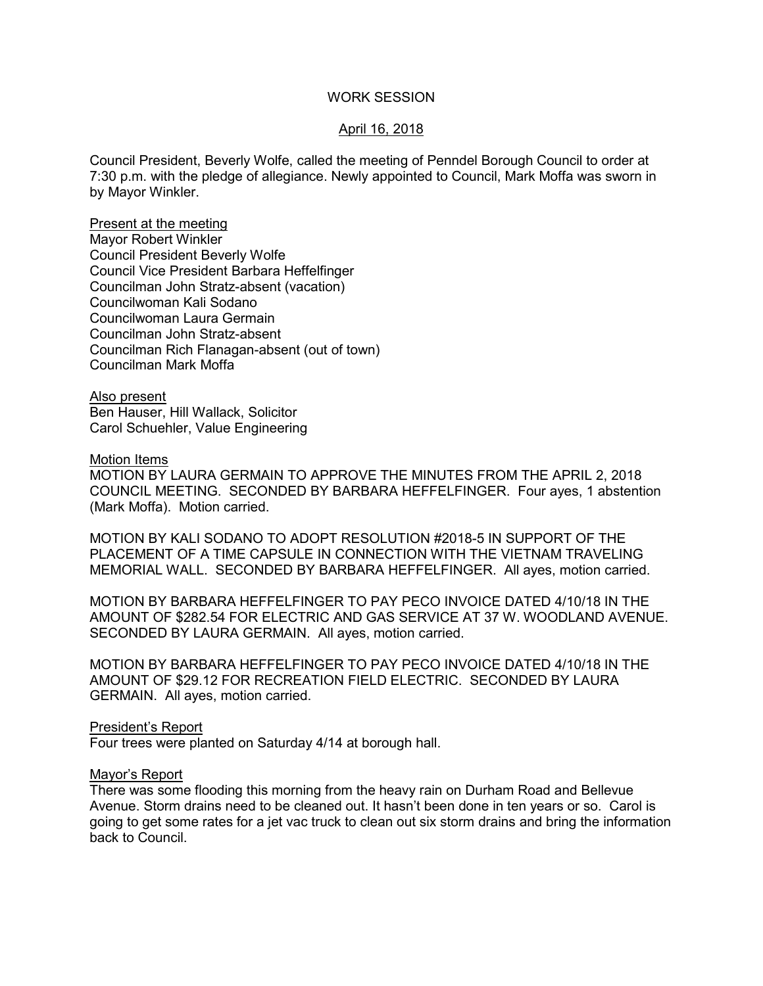### WORK SESSION

## April 16, 2018

Council President, Beverly Wolfe, called the meeting of Penndel Borough Council to order at 7:30 p.m. with the pledge of allegiance. Newly appointed to Council, Mark Moffa was sworn in by Mayor Winkler.

Present at the meeting Mayor Robert Winkler Council President Beverly Wolfe Council Vice President Barbara Heffelfinger Councilman John Stratz-absent (vacation) Councilwoman Kali Sodano Councilwoman Laura Germain Councilman John Stratz-absent Councilman Rich Flanagan-absent (out of town) Councilman Mark Moffa

Also present Ben Hauser, Hill Wallack, Solicitor Carol Schuehler, Value Engineering

Motion Items

MOTION BY LAURA GERMAIN TO APPROVE THE MINUTES FROM THE APRIL 2, 2018 COUNCIL MEETING. SECONDED BY BARBARA HEFFELFINGER. Four ayes, 1 abstention (Mark Moffa). Motion carried.

MOTION BY KALI SODANO TO ADOPT RESOLUTION #2018-5 IN SUPPORT OF THE PLACEMENT OF A TIME CAPSULE IN CONNECTION WITH THE VIETNAM TRAVELING MEMORIAL WALL. SECONDED BY BARBARA HEFFELFINGER. All ayes, motion carried.

MOTION BY BARBARA HEFFELFINGER TO PAY PECO INVOICE DATED 4/10/18 IN THE AMOUNT OF \$282.54 FOR ELECTRIC AND GAS SERVICE AT 37 W. WOODLAND AVENUE. SECONDED BY LAURA GERMAIN. All ayes, motion carried.

MOTION BY BARBARA HEFFELFINGER TO PAY PECO INVOICE DATED 4/10/18 IN THE AMOUNT OF \$29.12 FOR RECREATION FIELD ELECTRIC. SECONDED BY LAURA GERMAIN. All ayes, motion carried.

President's Report

Four trees were planted on Saturday 4/14 at borough hall.

#### Mayor's Report

There was some flooding this morning from the heavy rain on Durham Road and Bellevue Avenue. Storm drains need to be cleaned out. It hasn't been done in ten years or so. Carol is going to get some rates for a jet vac truck to clean out six storm drains and bring the information back to Council.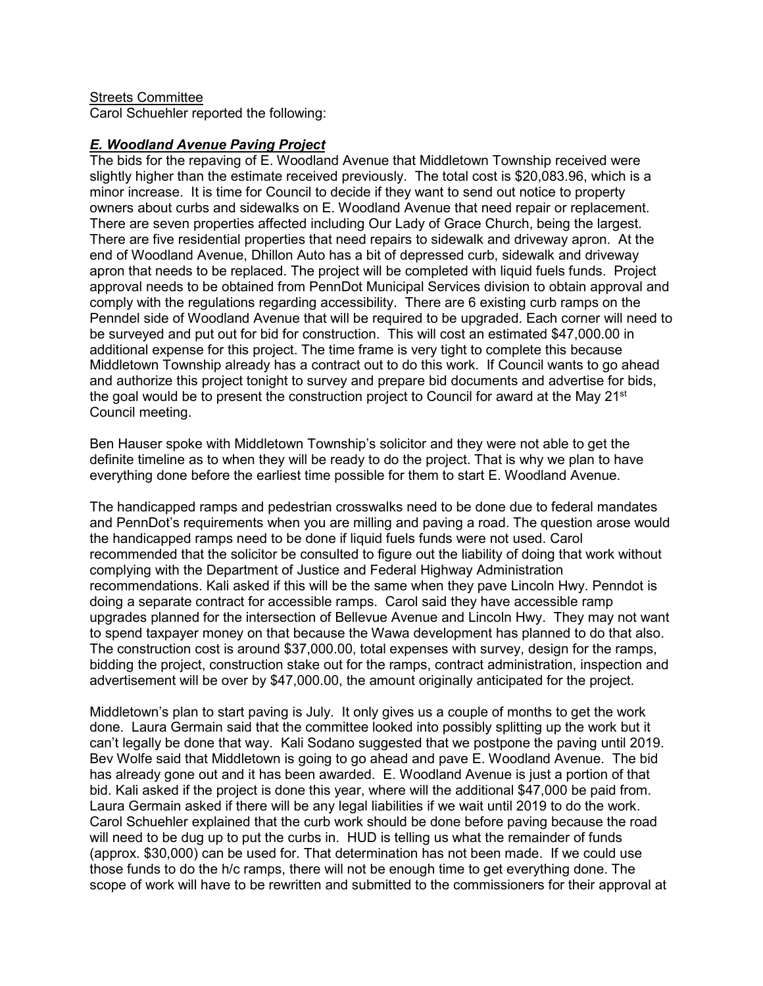# **Streets Committee**

Carol Schuehler reported the following:

## *E. Woodland Avenue Paving Project*

The bids for the repaving of E. Woodland Avenue that Middletown Township received were slightly higher than the estimate received previously. The total cost is \$20,083.96, which is a minor increase. It is time for Council to decide if they want to send out notice to property owners about curbs and sidewalks on E. Woodland Avenue that need repair or replacement. There are seven properties affected including Our Lady of Grace Church, being the largest. There are five residential properties that need repairs to sidewalk and driveway apron. At the end of Woodland Avenue, Dhillon Auto has a bit of depressed curb, sidewalk and driveway apron that needs to be replaced. The project will be completed with liquid fuels funds. Project approval needs to be obtained from PennDot Municipal Services division to obtain approval and comply with the regulations regarding accessibility. There are 6 existing curb ramps on the Penndel side of Woodland Avenue that will be required to be upgraded. Each corner will need to be surveyed and put out for bid for construction. This will cost an estimated \$47,000.00 in additional expense for this project. The time frame is very tight to complete this because Middletown Township already has a contract out to do this work. If Council wants to go ahead and authorize this project tonight to survey and prepare bid documents and advertise for bids, the goal would be to present the construction project to Council for award at the May  $21^{st}$ Council meeting.

Ben Hauser spoke with Middletown Township's solicitor and they were not able to get the definite timeline as to when they will be ready to do the project. That is why we plan to have everything done before the earliest time possible for them to start E. Woodland Avenue.

The handicapped ramps and pedestrian crosswalks need to be done due to federal mandates and PennDot's requirements when you are milling and paving a road. The question arose would the handicapped ramps need to be done if liquid fuels funds were not used. Carol recommended that the solicitor be consulted to figure out the liability of doing that work without complying with the Department of Justice and Federal Highway Administration recommendations. Kali asked if this will be the same when they pave Lincoln Hwy. Penndot is doing a separate contract for accessible ramps. Carol said they have accessible ramp upgrades planned for the intersection of Bellevue Avenue and Lincoln Hwy. They may not want to spend taxpayer money on that because the Wawa development has planned to do that also. The construction cost is around \$37,000.00, total expenses with survey, design for the ramps, bidding the project, construction stake out for the ramps, contract administration, inspection and advertisement will be over by \$47,000.00, the amount originally anticipated for the project.

Middletown's plan to start paving is July. It only gives us a couple of months to get the work done. Laura Germain said that the committee looked into possibly splitting up the work but it can't legally be done that way. Kali Sodano suggested that we postpone the paving until 2019. Bev Wolfe said that Middletown is going to go ahead and pave E. Woodland Avenue. The bid has already gone out and it has been awarded. E. Woodland Avenue is just a portion of that bid. Kali asked if the project is done this year, where will the additional \$47,000 be paid from. Laura Germain asked if there will be any legal liabilities if we wait until 2019 to do the work. Carol Schuehler explained that the curb work should be done before paving because the road will need to be dug up to put the curbs in. HUD is telling us what the remainder of funds (approx. \$30,000) can be used for. That determination has not been made. If we could use those funds to do the h/c ramps, there will not be enough time to get everything done. The scope of work will have to be rewritten and submitted to the commissioners for their approval at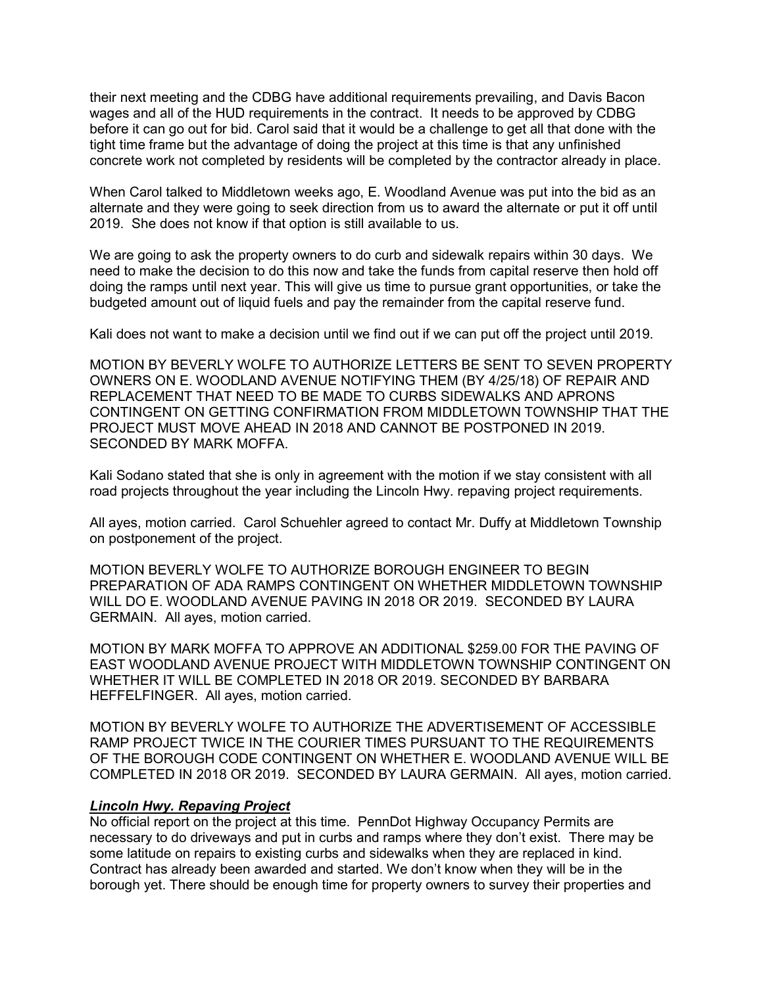their next meeting and the CDBG have additional requirements prevailing, and Davis Bacon wages and all of the HUD requirements in the contract. It needs to be approved by CDBG before it can go out for bid. Carol said that it would be a challenge to get all that done with the tight time frame but the advantage of doing the project at this time is that any unfinished concrete work not completed by residents will be completed by the contractor already in place.

When Carol talked to Middletown weeks ago, E. Woodland Avenue was put into the bid as an alternate and they were going to seek direction from us to award the alternate or put it off until 2019. She does not know if that option is still available to us.

We are going to ask the property owners to do curb and sidewalk repairs within 30 days. We need to make the decision to do this now and take the funds from capital reserve then hold off doing the ramps until next year. This will give us time to pursue grant opportunities, or take the budgeted amount out of liquid fuels and pay the remainder from the capital reserve fund.

Kali does not want to make a decision until we find out if we can put off the project until 2019.

MOTION BY BEVERLY WOLFE TO AUTHORIZE LETTERS BE SENT TO SEVEN PROPERTY OWNERS ON E. WOODLAND AVENUE NOTIFYING THEM (BY 4/25/18) OF REPAIR AND REPLACEMENT THAT NEED TO BE MADE TO CURBS SIDEWALKS AND APRONS CONTINGENT ON GETTING CONFIRMATION FROM MIDDLETOWN TOWNSHIP THAT THE PROJECT MUST MOVE AHEAD IN 2018 AND CANNOT BE POSTPONED IN 2019. SECONDED BY MARK MOFFA.

Kali Sodano stated that she is only in agreement with the motion if we stay consistent with all road projects throughout the year including the Lincoln Hwy. repaving project requirements.

All ayes, motion carried. Carol Schuehler agreed to contact Mr. Duffy at Middletown Township on postponement of the project.

MOTION BEVERLY WOLFE TO AUTHORIZE BOROUGH ENGINEER TO BEGIN PREPARATION OF ADA RAMPS CONTINGENT ON WHETHER MIDDLETOWN TOWNSHIP WILL DO E. WOODLAND AVENUE PAVING IN 2018 OR 2019. SECONDED BY LAURA GERMAIN. All ayes, motion carried.

MOTION BY MARK MOFFA TO APPROVE AN ADDITIONAL \$259.00 FOR THE PAVING OF EAST WOODLAND AVENUE PROJECT WITH MIDDLETOWN TOWNSHIP CONTINGENT ON WHETHER IT WILL BE COMPLETED IN 2018 OR 2019. SECONDED BY BARBARA HEFFELFINGER. All ayes, motion carried.

MOTION BY BEVERLY WOLFE TO AUTHORIZE THE ADVERTISEMENT OF ACCESSIBLE RAMP PROJECT TWICE IN THE COURIER TIMES PURSUANT TO THE REQUIREMENTS OF THE BOROUGH CODE CONTINGENT ON WHETHER E. WOODLAND AVENUE WILL BE COMPLETED IN 2018 OR 2019. SECONDED BY LAURA GERMAIN. All ayes, motion carried.

## *Lincoln Hwy. Repaving Project*

No official report on the project at this time. PennDot Highway Occupancy Permits are necessary to do driveways and put in curbs and ramps where they don't exist. There may be some latitude on repairs to existing curbs and sidewalks when they are replaced in kind. Contract has already been awarded and started. We don't know when they will be in the borough yet. There should be enough time for property owners to survey their properties and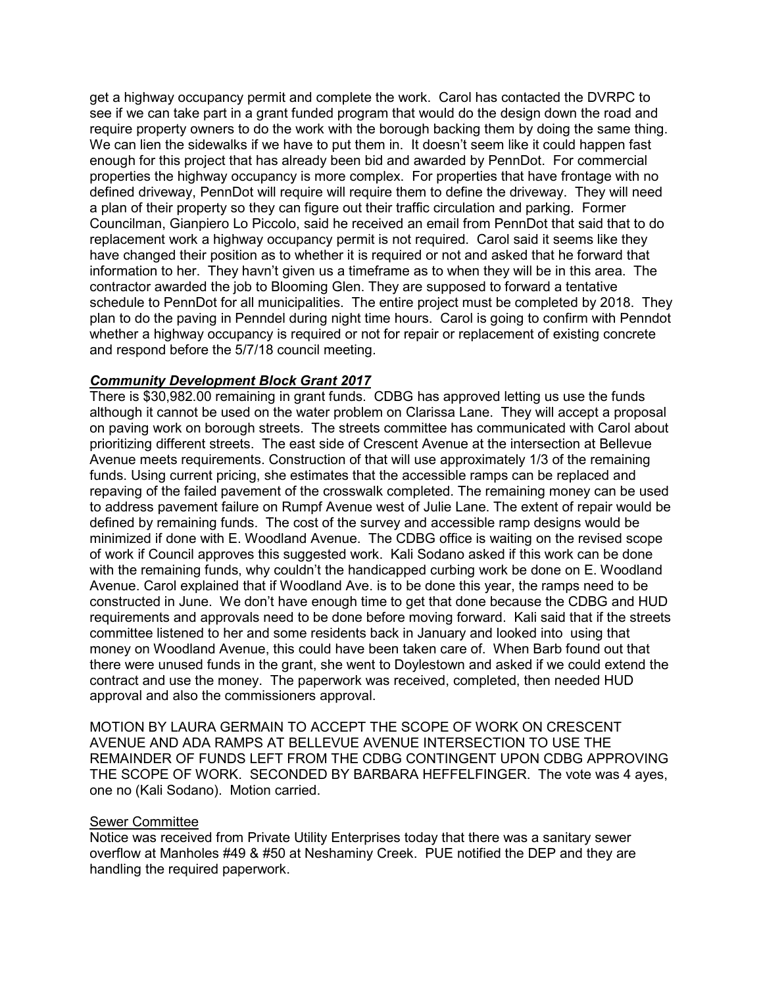get a highway occupancy permit and complete the work. Carol has contacted the DVRPC to see if we can take part in a grant funded program that would do the design down the road and require property owners to do the work with the borough backing them by doing the same thing. We can lien the sidewalks if we have to put them in. It doesn't seem like it could happen fast enough for this project that has already been bid and awarded by PennDot. For commercial properties the highway occupancy is more complex. For properties that have frontage with no defined driveway, PennDot will require will require them to define the driveway. They will need a plan of their property so they can figure out their traffic circulation and parking. Former Councilman, Gianpiero Lo Piccolo, said he received an email from PennDot that said that to do replacement work a highway occupancy permit is not required. Carol said it seems like they have changed their position as to whether it is required or not and asked that he forward that information to her. They havn't given us a timeframe as to when they will be in this area. The contractor awarded the job to Blooming Glen. They are supposed to forward a tentative schedule to PennDot for all municipalities. The entire project must be completed by 2018. They plan to do the paving in Penndel during night time hours. Carol is going to confirm with Penndot whether a highway occupancy is required or not for repair or replacement of existing concrete and respond before the 5/7/18 council meeting.

## *Community Development Block Grant 2017*

There is \$30,982.00 remaining in grant funds. CDBG has approved letting us use the funds although it cannot be used on the water problem on Clarissa Lane. They will accept a proposal on paving work on borough streets. The streets committee has communicated with Carol about prioritizing different streets. The east side of Crescent Avenue at the intersection at Bellevue Avenue meets requirements. Construction of that will use approximately 1/3 of the remaining funds. Using current pricing, she estimates that the accessible ramps can be replaced and repaving of the failed pavement of the crosswalk completed. The remaining money can be used to address pavement failure on Rumpf Avenue west of Julie Lane. The extent of repair would be defined by remaining funds. The cost of the survey and accessible ramp designs would be minimized if done with E. Woodland Avenue. The CDBG office is waiting on the revised scope of work if Council approves this suggested work. Kali Sodano asked if this work can be done with the remaining funds, why couldn't the handicapped curbing work be done on E. Woodland Avenue. Carol explained that if Woodland Ave. is to be done this year, the ramps need to be constructed in June. We don't have enough time to get that done because the CDBG and HUD requirements and approvals need to be done before moving forward. Kali said that if the streets committee listened to her and some residents back in January and looked into using that money on Woodland Avenue, this could have been taken care of. When Barb found out that there were unused funds in the grant, she went to Doylestown and asked if we could extend the contract and use the money. The paperwork was received, completed, then needed HUD approval and also the commissioners approval.

MOTION BY LAURA GERMAIN TO ACCEPT THE SCOPE OF WORK ON CRESCENT AVENUE AND ADA RAMPS AT BELLEVUE AVENUE INTERSECTION TO USE THE REMAINDER OF FUNDS LEFT FROM THE CDBG CONTINGENT UPON CDBG APPROVING THE SCOPE OF WORK. SECONDED BY BARBARA HEFFELFINGER. The vote was 4 ayes, one no (Kali Sodano). Motion carried.

## Sewer Committee

Notice was received from Private Utility Enterprises today that there was a sanitary sewer overflow at Manholes #49 & #50 at Neshaminy Creek. PUE notified the DEP and they are handling the required paperwork.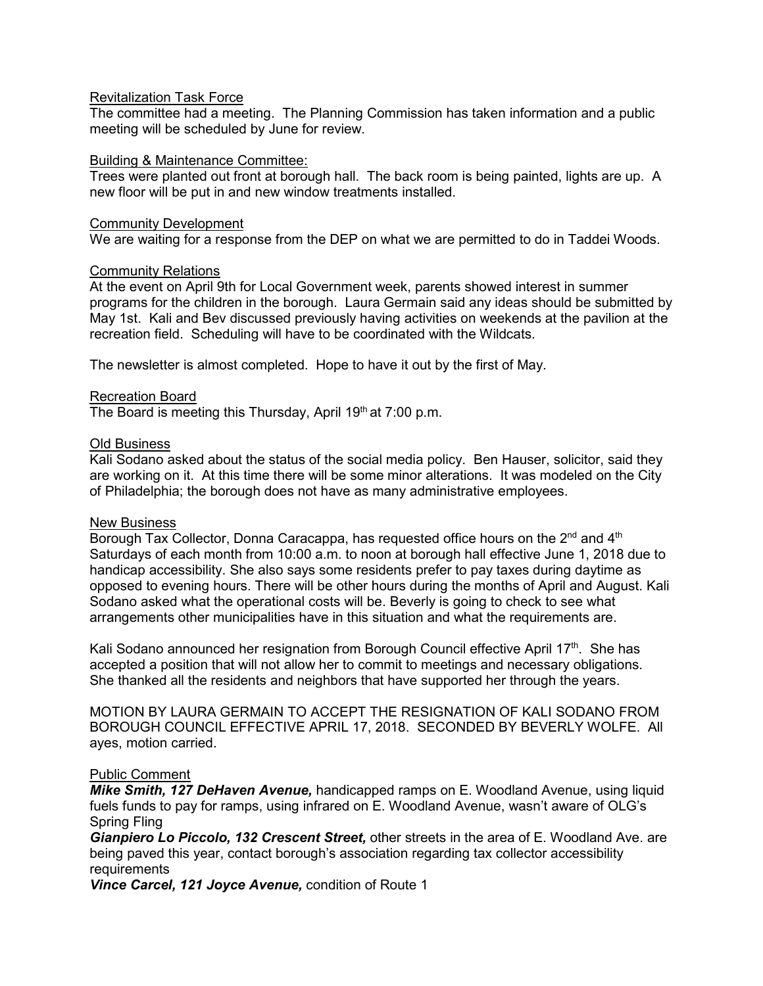## Revitalization Task Force

The committee had a meeting. The Planning Commission has taken information and a public meeting will be scheduled by June for review.

### Building & Maintenance Committee:

Trees were planted out front at borough hall. The back room is being painted, lights are up. A new floor will be put in and new window treatments installed.

### Community Development

We are waiting for a response from the DEP on what we are permitted to do in Taddei Woods.

## Community Relations

At the event on April 9th for Local Government week, parents showed interest in summer programs for the children in the borough. Laura Germain said any ideas should be submitted by May 1st. Kali and Bev discussed previously having activities on weekends at the pavilion at the recreation field. Scheduling will have to be coordinated with the Wildcats.

The newsletter is almost completed. Hope to have it out by the first of May.

## Recreation Board

The Board is meeting this Thursday, April  $19<sup>th</sup>$  at 7:00 p.m.

### Old Business

Kali Sodano asked about the status of the social media policy. Ben Hauser, solicitor, said they are working on it. At this time there will be some minor alterations. It was modeled on the City of Philadelphia; the borough does not have as many administrative employees.

### New Business

Borough Tax Collector, Donna Caracappa, has requested office hours on the  $2^{nd}$  and  $4^{th}$ Saturdays of each month from 10:00 a.m. to noon at borough hall effective June 1, 2018 due to handicap accessibility. She also says some residents prefer to pay taxes during daytime as opposed to evening hours. There will be other hours during the months of April and August. Kali Sodano asked what the operational costs will be. Beverly is going to check to see what arrangements other municipalities have in this situation and what the requirements are.

Kali Sodano announced her resignation from Borough Council effective April 17<sup>th</sup>. She has accepted a position that will not allow her to commit to meetings and necessary obligations. She thanked all the residents and neighbors that have supported her through the years.

MOTION BY LAURA GERMAIN TO ACCEPT THE RESIGNATION OF KALI SODANO FROM BOROUGH COUNCIL EFFECTIVE APRIL 17, 2018. SECONDED BY BEVERLY WOLFE. All ayes, motion carried.

### Public Comment

*Mike Smith, 127 DeHaven Avenue,* handicapped ramps on E. Woodland Avenue, using liquid fuels funds to pay for ramps, using infrared on E. Woodland Avenue, wasn't aware of OLG's Spring Fling

*Gianpiero Lo Piccolo, 132 Crescent Street,* other streets in the area of E. Woodland Ave. are being paved this year, contact borough's association regarding tax collector accessibility requirements

*Vince Carcel, 121 Joyce Avenue,* condition of Route 1